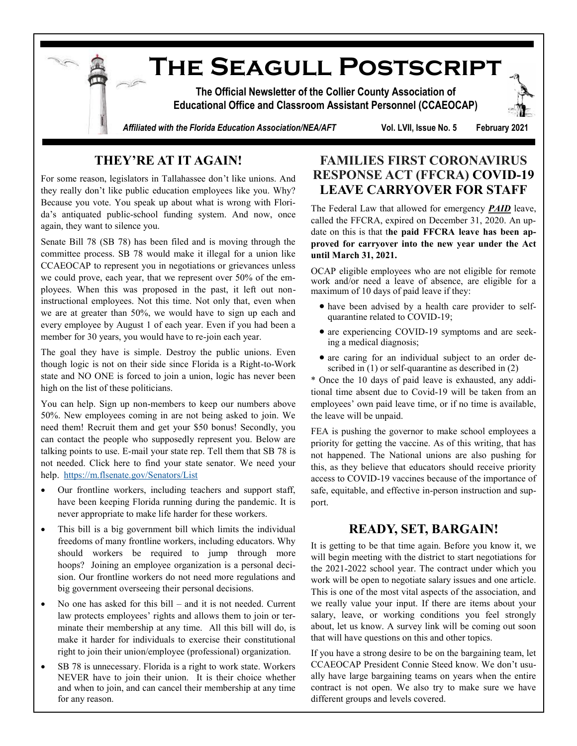

## **THEY'RE AT IT AGAIN!**

For some reason, legislators in Tallahassee don't like unions. And they really don't like public education employees like you. Why? Because you vote. You speak up about what is wrong with Florida's antiquated public-school funding system. And now, once again, they want to silence you.

Senate Bill 78 (SB 78) has been filed and is moving through the committee process. SB 78 would make it illegal for a union like CCAEOCAP to represent you in negotiations or grievances unless we could prove, each year, that we represent over 50% of the employees. When this was proposed in the past, it left out noninstructional employees. Not this time. Not only that, even when we are at greater than 50%, we would have to sign up each and every employee by August 1 of each year. Even if you had been a member for 30 years, you would have to re-join each year.

The goal they have is simple. Destroy the public unions. Even though logic is not on their side since Florida is a Right-to-Work state and NO ONE is forced to join a union, logic has never been high on the list of these politicians.

You can help. Sign up non-members to keep our numbers above 50%. New employees coming in are not being asked to join. We need them! Recruit them and get your \$50 bonus! Secondly, you can contact the people who supposedly represent you. Below are talking points to use. E-mail your state rep. Tell them that SB 78 is not needed. Click here to find your state senator. We need your help. <https://m.flsenate.gov/Senators/List>

- Our frontline workers, including teachers and support staff, have been keeping Florida running during the pandemic. It is never appropriate to make life harder for these workers.
- This bill is a big government bill which limits the individual freedoms of many frontline workers, including educators. Why should workers be required to jump through more hoops? Joining an employee organization is a personal decision. Our frontline workers do not need more regulations and big government overseeing their personal decisions.
- No one has asked for this bill and it is not needed. Current law protects employees' rights and allows them to join or terminate their membership at any time. All this bill will do, is make it harder for individuals to exercise their constitutional right to join their union/employee (professional) organization.
- SB 78 is unnecessary. Florida is a right to work state. Workers NEVER have to join their union. It is their choice whether and when to join, and can cancel their membership at any time for any reason.

## **FAMILIES FIRST CORONAVIRUS RESPONSE ACT (FFCRA) COVID-19 LEAVE CARRYOVER FOR STAFF**

The Federal Law that allowed for emergency *PAID* leave, called the FFCRA, expired on December 31, 2020. An update on this is that t**he paid FFCRA leave has been approved for carryover into the new year under the Act until March 31, 2021.**

OCAP eligible employees who are not eligible for remote work and/or need a leave of absence, are eligible for a maximum of 10 days of paid leave if they:

- have been advised by a health care provider to selfquarantine related to COVID-19;
- are experiencing COVID-19 symptoms and are seeking a medical diagnosis;
- are caring for an individual subject to an order described in  $(1)$  or self-quarantine as described in  $(2)$

\* Once the 10 days of paid leave is exhausted, any additional time absent due to Covid-19 will be taken from an employees' own paid leave time, or if no time is available, the leave will be unpaid.

FEA is pushing the governor to make school employees a priority for getting the vaccine. As of this writing, that has not happened. The National unions are also pushing for this, as they believe that educators should receive priority access to COVID-19 vaccines because of the importance of safe, equitable, and effective in-person instruction and support.

## **READY, SET, BARGAIN!**

It is getting to be that time again. Before you know it, we will begin meeting with the district to start negotiations for the 2021-2022 school year. The contract under which you work will be open to negotiate salary issues and one article. This is one of the most vital aspects of the association, and we really value your input. If there are items about your salary, leave, or working conditions you feel strongly about, let us know. A survey link will be coming out soon that will have questions on this and other topics.

If you have a strong desire to be on the bargaining team, let CCAEOCAP President Connie Steed know. We don't usually have large bargaining teams on years when the entire contract is not open. We also try to make sure we have different groups and levels covered.